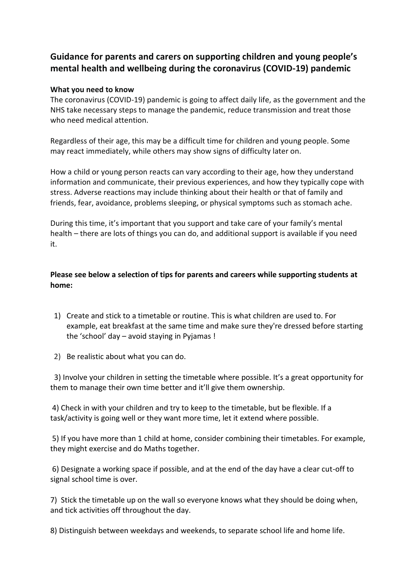## **Guidance for parents and carers on supporting children and young people's mental health and wellbeing during the coronavirus (COVID-19) pandemic**

## **What you need to know**

The coronavirus (COVID-19) pandemic is going to affect daily life, as the government and the NHS take necessary steps to manage the pandemic, reduce transmission and treat those who need medical attention.

Regardless of their age, this may be a difficult time for children and young people. Some may react immediately, while others may show signs of difficulty later on.

How a child or young person reacts can vary according to their age, how they understand information and communicate, their previous experiences, and how they typically cope with stress. Adverse reactions may include thinking about their health or that of family and friends, fear, avoidance, problems sleeping, or physical symptoms such as stomach ache.

During this time, it's important that you support and take care of your family's mental health – there are lots of things you can do, and additional support is available if you need it.

**Please see below a selection of tips for parents and careers while supporting students at home:**

1) Create and stick to a timetable or routine. This is what children are used to. For example, eat breakfast at the same time and make sure they're dressed before starting the 'school' day – avoid staying in Pyjamas !

2) Be realistic about what you can do.

3) Involve your children in setting the timetable where possible. It's a great opportunity for them to manage their own time better and it'll give them ownership.

4) Check in with your children and try to keep to the timetable, but be flexible. If a task/activity is going well or they want more time, let it extend where possible.

5) If you have more than 1 child at home, consider combining their timetables. For example, they might exercise and do Maths together.

6) Designate a working space if possible, and at the end of the day have a clear cut-off to signal school time is over.

7) Stick the timetable up on the wall so everyone knows what they should be doing when, and tick activities off throughout the day.

8) Distinguish between weekdays and weekends, to separate school life and home life.